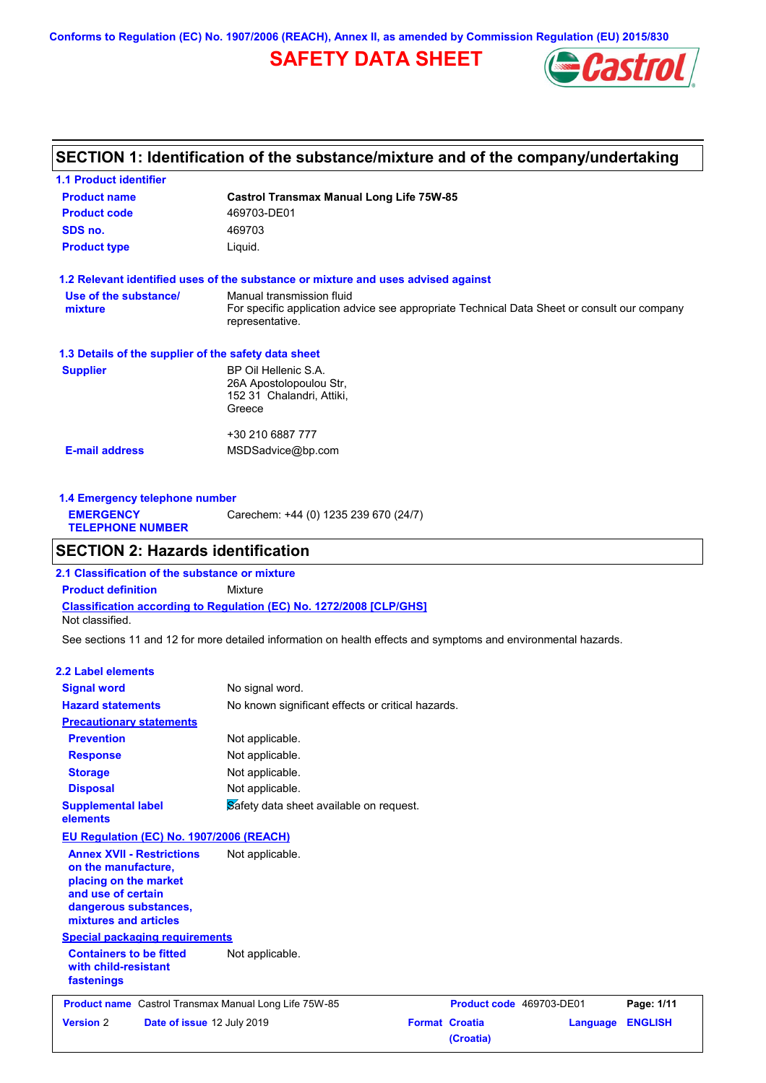**Conforms to Regulation (EC) No. 1907/2006 (REACH), Annex II, as amended by Commission Regulation (EU) 2015/830**

# **SAFETY DATA SHEET**



# **SECTION 1: Identification of the substance/mixture and of the company/undertaking**

| <b>1.1 Product identifier</b>                        |                                                                                                                                             |
|------------------------------------------------------|---------------------------------------------------------------------------------------------------------------------------------------------|
| <b>Product name</b>                                  | <b>Castrol Transmax Manual Long Life 75W-85</b>                                                                                             |
| <b>Product code</b>                                  | 469703-DE01                                                                                                                                 |
| SDS no.                                              | 469703                                                                                                                                      |
| <b>Product type</b>                                  | Liquid.                                                                                                                                     |
|                                                      | 1.2 Relevant identified uses of the substance or mixture and uses advised against                                                           |
| Use of the substance/<br>mixture                     | Manual transmission fluid<br>For specific application advice see appropriate Technical Data Sheet or consult our company<br>representative. |
| 1.3 Details of the supplier of the safety data sheet |                                                                                                                                             |
| <b>Supplier</b>                                      | BP Oil Hellenic S.A.<br>26A Apostolopoulou Str.<br>152 31 Chalandri, Attiki,<br>Greece                                                      |
|                                                      | +30 210 6887 777                                                                                                                            |
| <b>E-mail address</b>                                | MSDSadvice@bp.com                                                                                                                           |
|                                                      |                                                                                                                                             |

**1.4 Emergency telephone number EMERGENCY TELEPHONE NUMBER** Carechem: +44 (0) 1235 239 670 (24/7)

# **SECTION 2: Hazards identification**

**Classification according to Regulation (EC) No. 1272/2008 [CLP/GHS] 2.1 Classification of the substance or mixture Product definition** Mixture Not classified.

See sections 11 and 12 for more detailed information on health effects and symptoms and environmental hazards.

### **2.2 Label elements**

| <b>Version 2</b>                                                                                                                                         | Date of issue 12 July 2019               | <b>Format Croatia</b><br>Language                                                 | <b>ENGLISH</b> |
|----------------------------------------------------------------------------------------------------------------------------------------------------------|------------------------------------------|-----------------------------------------------------------------------------------|----------------|
|                                                                                                                                                          |                                          | Product name Castrol Transmax Manual Long Life 75W-85<br>Product code 469703-DE01 | Page: 1/11     |
| <b>Containers to be fitted</b><br>with child-resistant<br>fastenings                                                                                     | <b>Special packaging requirements</b>    | Not applicable.                                                                   |                |
| <b>Annex XVII - Restrictions</b><br>on the manufacture,<br>placing on the market<br>and use of certain<br>dangerous substances,<br>mixtures and articles |                                          | Not applicable.                                                                   |                |
|                                                                                                                                                          | EU Regulation (EC) No. 1907/2006 (REACH) |                                                                                   |                |
| <b>Supplemental label</b><br>elements                                                                                                                    |                                          | Safety data sheet available on request.                                           |                |
| <b>Disposal</b>                                                                                                                                          |                                          | Not applicable.                                                                   |                |
| <b>Storage</b>                                                                                                                                           |                                          | Not applicable.                                                                   |                |
| <b>Response</b>                                                                                                                                          |                                          | Not applicable.                                                                   |                |
| <b>Prevention</b>                                                                                                                                        |                                          | Not applicable.                                                                   |                |
| <b>Precautionary statements</b>                                                                                                                          |                                          |                                                                                   |                |
| <b>Hazard statements</b>                                                                                                                                 |                                          | No known significant effects or critical hazards.                                 |                |
| <b>Signal word</b>                                                                                                                                       |                                          | No signal word.                                                                   |                |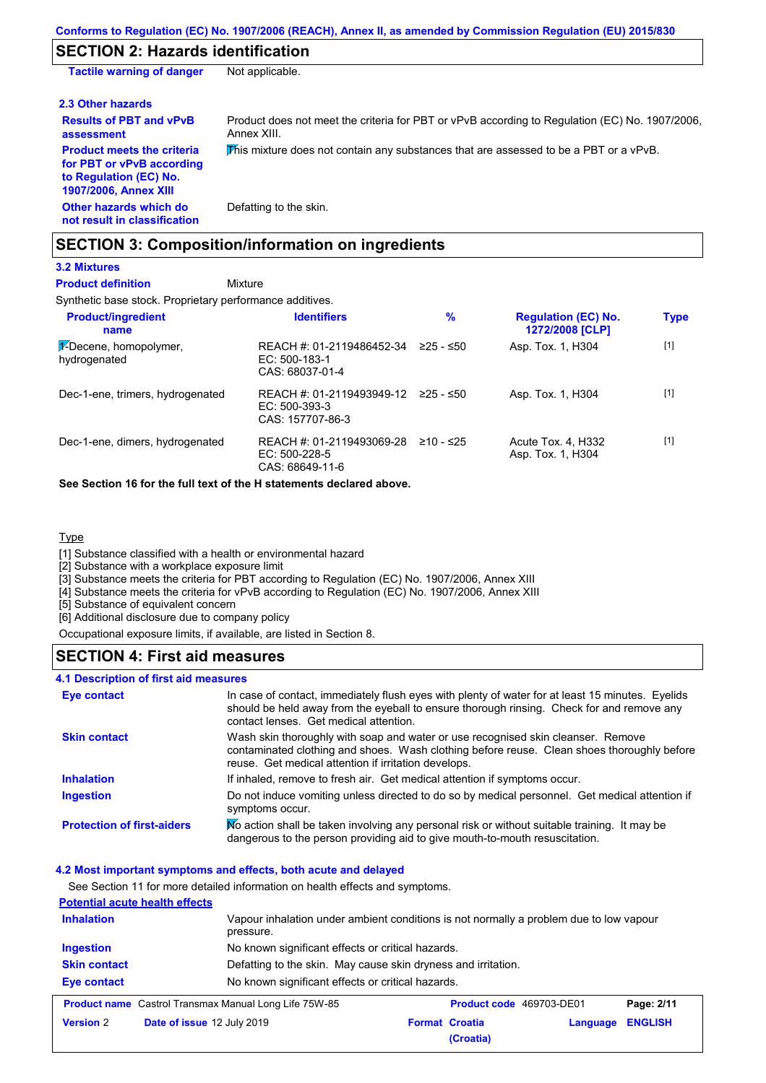# **SECTION 2: Hazards identification**

| <b>Tactile warning of danger</b>                                                                                         | Not applicable.                                                                                               |
|--------------------------------------------------------------------------------------------------------------------------|---------------------------------------------------------------------------------------------------------------|
| 2.3 Other hazards                                                                                                        |                                                                                                               |
| <b>Results of PBT and vPvB</b><br>assessment                                                                             | Product does not meet the criteria for PBT or vPvB according to Regulation (EC) No. 1907/2006.<br>Annex XIII. |
| <b>Product meets the criteria</b><br>for PBT or vPvB according<br>to Regulation (EC) No.<br><b>1907/2006, Annex XIII</b> | This mixture does not contain any substances that are assessed to be a PBT or a vPvB.                         |
| Other hazards which do<br>not result in classification                                                                   | Defatting to the skin.                                                                                        |

# **SECTION 3: Composition/information on ingredients**

# **3.2 Mixtures**

Synthetic base stock. Proprietary performance additives. Mixture **Product definition**

| <b>Product/ingredient</b><br>name      | <b>Identifiers</b>                                              | %           | <b>Regulation (EC) No.</b><br>1272/2008 [CLP] | <b>Type</b> |
|----------------------------------------|-----------------------------------------------------------------|-------------|-----------------------------------------------|-------------|
| 1-Decene, homopolymer,<br>hydrogenated | REACH #: 01-2119486452-34<br>EC: 500-183-1<br>CAS: 68037-01-4   | $≥25 - ≤50$ | Asp. Tox. 1, H304                             | $[1]$       |
| Dec-1-ene, trimers, hydrogenated       | REACH #: 01-2119493949-12<br>EC: 500-393-3<br>CAS: 157707-86-3  | 225 - ≤50   | Asp. Tox. 1, H304                             | $[1]$       |
| Dec-1-ene, dimers, hydrogenated        | REACH #: 01-2119493069-28<br>$EC: 500-228-5$<br>CAS: 68649-11-6 | $≥10 - ≤25$ | Acute Tox. 4, H332<br>Asp. Tox. 1, H304       | $[1]$       |

### **See Section 16 for the full text of the H statements declared above.**

### **Type**

[1] Substance classified with a health or environmental hazard

[2] Substance with a workplace exposure limit

[3] Substance meets the criteria for PBT according to Regulation (EC) No. 1907/2006, Annex XIII

[4] Substance meets the criteria for vPvB according to Regulation (EC) No. 1907/2006, Annex XIII

[5] Substance of equivalent concern

[6] Additional disclosure due to company policy

Occupational exposure limits, if available, are listed in Section 8.

### **SECTION 4: First aid measures**

### **4.1 Description of first aid measures**

| <b>Eye contact</b>                | In case of contact, immediately flush eyes with plenty of water for at least 15 minutes. Eyelids<br>should be held away from the eyeball to ensure thorough rinsing. Check for and remove any<br>contact lenses. Get medical attention. |
|-----------------------------------|-----------------------------------------------------------------------------------------------------------------------------------------------------------------------------------------------------------------------------------------|
| <b>Skin contact</b>               | Wash skin thoroughly with soap and water or use recognised skin cleanser. Remove<br>contaminated clothing and shoes. Wash clothing before reuse. Clean shoes thoroughly before<br>reuse. Get medical attention if irritation develops.  |
| <b>Inhalation</b>                 | If inhaled, remove to fresh air. Get medical attention if symptoms occur.                                                                                                                                                               |
| <b>Ingestion</b>                  | Do not induce vomiting unless directed to do so by medical personnel. Get medical attention if<br>symptoms occur.                                                                                                                       |
| <b>Protection of first-aiders</b> | No action shall be taken involving any personal risk or without suitable training. It may be<br>dangerous to the person providing aid to give mouth-to-mouth resuscitation.                                                             |

### **4.2 Most important symptoms and effects, both acute and delayed**

See Section 11 for more detailed information on health effects and symptoms.

| <b>Potential acute health effects</b> |                                                                                                     |                       |                          |                |
|---------------------------------------|-----------------------------------------------------------------------------------------------------|-----------------------|--------------------------|----------------|
| <b>Inhalation</b>                     | Vapour inhalation under ambient conditions is not normally a problem due to low vapour<br>pressure. |                       |                          |                |
| <b>Ingestion</b>                      | No known significant effects or critical hazards.                                                   |                       |                          |                |
| <b>Skin contact</b>                   | Defatting to the skin. May cause skin dryness and irritation.                                       |                       |                          |                |
| Eye contact                           | No known significant effects or critical hazards.                                                   |                       |                          |                |
|                                       | <b>Product name</b> Castrol Transmax Manual Long Life 75W-85                                        |                       | Product code 469703-DE01 | Page: 2/11     |
| <b>Version 2</b>                      | Date of issue 12 July 2019                                                                          | <b>Format Croatia</b> | Language                 | <b>ENGLISH</b> |
|                                       |                                                                                                     | (Croatia)             |                          |                |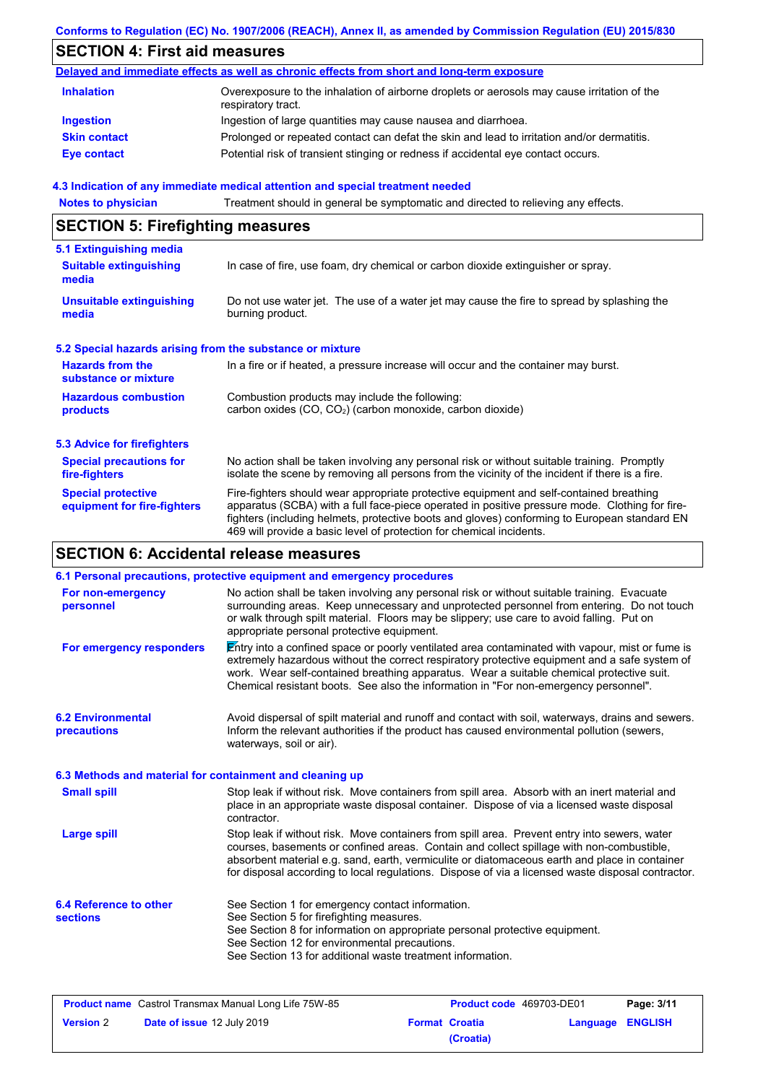### **Conforms to Regulation (EC) No. 1907/2006 (REACH), Annex II, as amended by Commission Regulation (EU) 2015/830**

# **SECTION 4: First aid measures**

| Delayed and immediate effects as well as chronic effects from short and long-term exposure |                                                                                                                   |  |
|--------------------------------------------------------------------------------------------|-------------------------------------------------------------------------------------------------------------------|--|
| <b>Inhalation</b>                                                                          | Overexposure to the inhalation of airborne droplets or aerosols may cause irritation of the<br>respiratory tract. |  |
| <b>Ingestion</b>                                                                           | Ingestion of large quantities may cause nausea and diarrhoea.                                                     |  |
| <b>Skin contact</b>                                                                        | Prolonged or repeated contact can defat the skin and lead to irritation and/or dermatitis.                        |  |
| Eye contact                                                                                | Potential risk of transient stinging or redness if accidental eye contact occurs.                                 |  |

### **4.3 Indication of any immediate medical attention and special treatment needed**

**Notes to physician** Treatment should in general be symptomatic and directed to relieving any effects.

# **SECTION 5: Firefighting measures**

| 5.1 Extinguishing media                                   |                                                                                                                                                                                                                                                                                                                                                                   |
|-----------------------------------------------------------|-------------------------------------------------------------------------------------------------------------------------------------------------------------------------------------------------------------------------------------------------------------------------------------------------------------------------------------------------------------------|
| <b>Suitable extinguishing</b><br>media                    | In case of fire, use foam, dry chemical or carbon dioxide extinguisher or spray.                                                                                                                                                                                                                                                                                  |
| <b>Unsuitable extinguishing</b><br>media                  | Do not use water jet. The use of a water jet may cause the fire to spread by splashing the<br>burning product.                                                                                                                                                                                                                                                    |
| 5.2 Special hazards arising from the substance or mixture |                                                                                                                                                                                                                                                                                                                                                                   |
| <b>Hazards from the</b><br>substance or mixture           | In a fire or if heated, a pressure increase will occur and the container may burst.                                                                                                                                                                                                                                                                               |
| <b>Hazardous combustion</b><br>products                   | Combustion products may include the following:<br>carbon oxides (CO, CO <sub>2</sub> ) (carbon monoxide, carbon dioxide)                                                                                                                                                                                                                                          |
| <b>5.3 Advice for firefighters</b>                        |                                                                                                                                                                                                                                                                                                                                                                   |
| <b>Special precautions for</b><br>fire-fighters           | No action shall be taken involving any personal risk or without suitable training. Promptly<br>isolate the scene by removing all persons from the vicinity of the incident if there is a fire.                                                                                                                                                                    |
| <b>Special protective</b><br>equipment for fire-fighters  | Fire-fighters should wear appropriate protective equipment and self-contained breathing<br>apparatus (SCBA) with a full face-piece operated in positive pressure mode. Clothing for fire-<br>fighters (including helmets, protective boots and gloves) conforming to European standard EN<br>469 will provide a basic level of protection for chemical incidents. |

# **SECTION 6: Accidental release measures**

|                                                          | 6.1 Personal precautions, protective equipment and emergency procedures                                                                                                                                                                                                                                                                                                                        |
|----------------------------------------------------------|------------------------------------------------------------------------------------------------------------------------------------------------------------------------------------------------------------------------------------------------------------------------------------------------------------------------------------------------------------------------------------------------|
| For non-emergency<br>personnel                           | No action shall be taken involving any personal risk or without suitable training. Evacuate<br>surrounding areas. Keep unnecessary and unprotected personnel from entering. Do not touch<br>or walk through spilt material. Floors may be slippery; use care to avoid falling. Put on<br>appropriate personal protective equipment.                                                            |
| For emergency responders                                 | Entry into a confined space or poorly ventilated area contaminated with vapour, mist or fume is<br>extremely hazardous without the correct respiratory protective equipment and a safe system of<br>work. Wear self-contained breathing apparatus. Wear a suitable chemical protective suit.<br>Chemical resistant boots. See also the information in "For non-emergency personnel".           |
| <b>6.2 Environmental</b><br>precautions                  | Avoid dispersal of spilt material and runoff and contact with soil, waterways, drains and sewers.<br>Inform the relevant authorities if the product has caused environmental pollution (sewers,<br>waterways, soil or air).                                                                                                                                                                    |
| 6.3 Methods and material for containment and cleaning up |                                                                                                                                                                                                                                                                                                                                                                                                |
| <b>Small spill</b>                                       | Stop leak if without risk. Move containers from spill area. Absorb with an inert material and<br>place in an appropriate waste disposal container. Dispose of via a licensed waste disposal<br>contractor.                                                                                                                                                                                     |
| <b>Large spill</b>                                       | Stop leak if without risk. Move containers from spill area. Prevent entry into sewers, water<br>courses, basements or confined areas. Contain and collect spillage with non-combustible,<br>absorbent material e.g. sand, earth, vermiculite or diatomaceous earth and place in container<br>for disposal according to local regulations. Dispose of via a licensed waste disposal contractor. |
| 6.4 Reference to other<br><b>sections</b>                | See Section 1 for emergency contact information.<br>See Section 5 for firefighting measures.<br>See Section 8 for information on appropriate personal protective equipment.<br>See Section 12 for environmental precautions.<br>See Section 13 for additional waste treatment information.                                                                                                     |

| <b>Product name</b> Castrol Transmax Manual Long Life 75W-85 |                                   | <b>Product code</b> 469703-DE01 |                       | Page: 3/11       |  |
|--------------------------------------------------------------|-----------------------------------|---------------------------------|-----------------------|------------------|--|
| <b>Version</b> 2                                             | <b>Date of issue 12 July 2019</b> |                                 | <b>Format Croatia</b> | Language ENGLISH |  |
|                                                              |                                   |                                 | (Croatia)             |                  |  |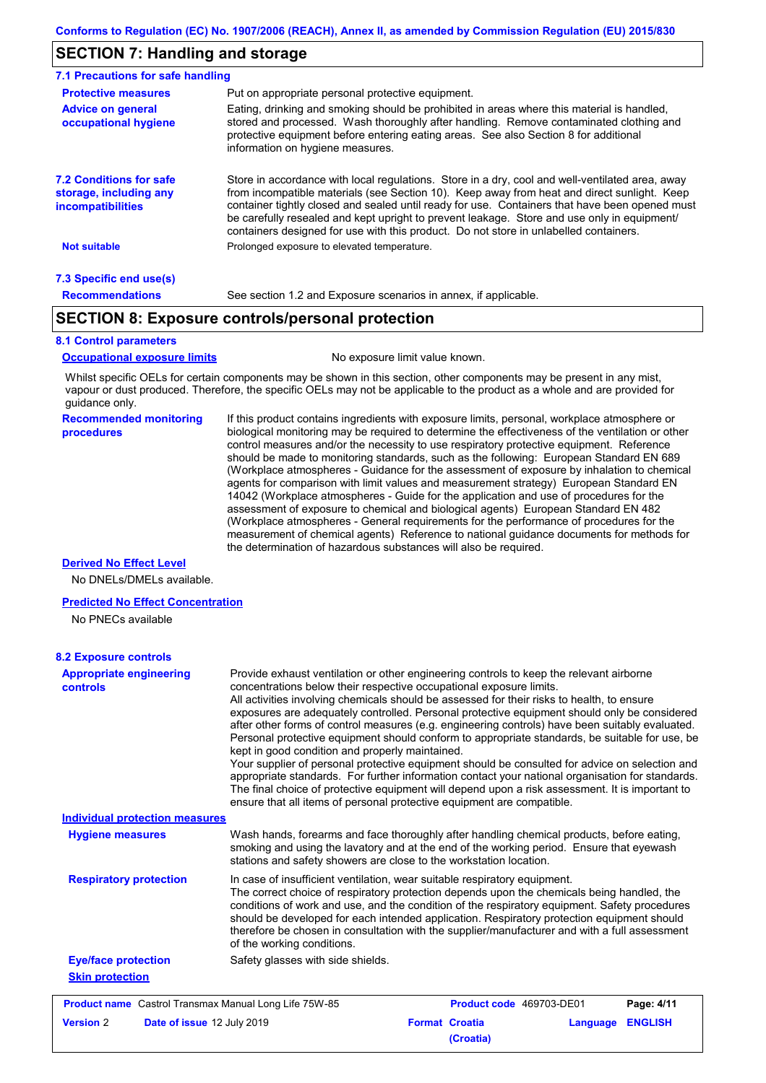# **SECTION 7: Handling and storage**

| 7.1 Precautions for safe handling                                                    |                                                                                                                                                                                                                                                                                                                                                                                                                                                                                          |
|--------------------------------------------------------------------------------------|------------------------------------------------------------------------------------------------------------------------------------------------------------------------------------------------------------------------------------------------------------------------------------------------------------------------------------------------------------------------------------------------------------------------------------------------------------------------------------------|
| <b>Protective measures</b>                                                           | Put on appropriate personal protective equipment.                                                                                                                                                                                                                                                                                                                                                                                                                                        |
| <b>Advice on general</b><br>occupational hygiene                                     | Eating, drinking and smoking should be prohibited in areas where this material is handled,<br>stored and processed. Wash thoroughly after handling. Remove contaminated clothing and<br>protective equipment before entering eating areas. See also Section 8 for additional<br>information on hygiene measures.                                                                                                                                                                         |
| <b>7.2 Conditions for safe</b><br>storage, including any<br><b>incompatibilities</b> | Store in accordance with local regulations. Store in a dry, cool and well-ventilated area, away<br>from incompatible materials (see Section 10). Keep away from heat and direct sunlight. Keep<br>container tightly closed and sealed until ready for use. Containers that have been opened must<br>be carefully resealed and kept upright to prevent leakage. Store and use only in equipment/<br>containers designed for use with this product. Do not store in unlabelled containers. |
| <b>Not suitable</b>                                                                  | Prolonged exposure to elevated temperature.                                                                                                                                                                                                                                                                                                                                                                                                                                              |
| 7.3 Specific end use(s)                                                              |                                                                                                                                                                                                                                                                                                                                                                                                                                                                                          |
| <b>Recommendations</b>                                                               | See section 1.2 and Exposure scenarios in annex, if applicable.                                                                                                                                                                                                                                                                                                                                                                                                                          |

# **SECTION 8: Exposure controls/personal protection**

### **8.1 Control parameters**

**Occupational exposure limits** No exposure limit value known.

Whilst specific OELs for certain components may be shown in this section, other components may be present in any mist, vapour or dust produced. Therefore, the specific OELs may not be applicable to the product as a whole and are provided for guidance only.

### **Recommended monitoring procedures**

If this product contains ingredients with exposure limits, personal, workplace atmosphere or biological monitoring may be required to determine the effectiveness of the ventilation or other control measures and/or the necessity to use respiratory protective equipment. Reference should be made to monitoring standards, such as the following: European Standard EN 689 (Workplace atmospheres - Guidance for the assessment of exposure by inhalation to chemical agents for comparison with limit values and measurement strategy) European Standard EN 14042 (Workplace atmospheres - Guide for the application and use of procedures for the assessment of exposure to chemical and biological agents) European Standard EN 482 (Workplace atmospheres - General requirements for the performance of procedures for the measurement of chemical agents) Reference to national guidance documents for methods for the determination of hazardous substances will also be required.

### **Derived No Effect Level**

No DNELs/DMELs available.

### **Predicted No Effect Concentration**

No PNECs available

| <b>Appropriate engineering</b><br>controls                   | Provide exhaust ventilation or other engineering controls to keep the relevant airborne<br>concentrations below their respective occupational exposure limits.<br>All activities involving chemicals should be assessed for their risks to health, to ensure<br>exposures are adequately controlled. Personal protective equipment should only be considered<br>after other forms of control measures (e.g. engineering controls) have been suitably evaluated.<br>Personal protective equipment should conform to appropriate standards, be suitable for use, be<br>kept in good condition and properly maintained.<br>Your supplier of personal protective equipment should be consulted for advice on selection and<br>appropriate standards. For further information contact your national organisation for standards.<br>The final choice of protective equipment will depend upon a risk assessment. It is important to<br>ensure that all items of personal protective equipment are compatible. |
|--------------------------------------------------------------|---------------------------------------------------------------------------------------------------------------------------------------------------------------------------------------------------------------------------------------------------------------------------------------------------------------------------------------------------------------------------------------------------------------------------------------------------------------------------------------------------------------------------------------------------------------------------------------------------------------------------------------------------------------------------------------------------------------------------------------------------------------------------------------------------------------------------------------------------------------------------------------------------------------------------------------------------------------------------------------------------------|
| <b>Individual protection measures</b>                        |                                                                                                                                                                                                                                                                                                                                                                                                                                                                                                                                                                                                                                                                                                                                                                                                                                                                                                                                                                                                         |
| <b>Hygiene measures</b>                                      | Wash hands, forearms and face thoroughly after handling chemical products, before eating,<br>smoking and using the lavatory and at the end of the working period. Ensure that eyewash<br>stations and safety showers are close to the workstation location.                                                                                                                                                                                                                                                                                                                                                                                                                                                                                                                                                                                                                                                                                                                                             |
| <b>Respiratory protection</b>                                | In case of insufficient ventilation, wear suitable respiratory equipment.<br>The correct choice of respiratory protection depends upon the chemicals being handled, the<br>conditions of work and use, and the condition of the respiratory equipment. Safety procedures<br>should be developed for each intended application. Respiratory protection equipment should<br>therefore be chosen in consultation with the supplier/manufacturer and with a full assessment<br>of the working conditions.                                                                                                                                                                                                                                                                                                                                                                                                                                                                                                   |
| <b>Eye/face protection</b>                                   | Safety glasses with side shields.                                                                                                                                                                                                                                                                                                                                                                                                                                                                                                                                                                                                                                                                                                                                                                                                                                                                                                                                                                       |
| <b>Skin protection</b>                                       |                                                                                                                                                                                                                                                                                                                                                                                                                                                                                                                                                                                                                                                                                                                                                                                                                                                                                                                                                                                                         |
| <b>Product name</b> Castrol Transmax Manual Long Life 75W-85 | Product code 469703-DE01<br>Page: 4/11                                                                                                                                                                                                                                                                                                                                                                                                                                                                                                                                                                                                                                                                                                                                                                                                                                                                                                                                                                  |
| <b>Version 2</b><br>Date of issue 12 July 2019               | <b>Format Croatia</b><br><b>ENGLISH</b><br>Language<br>(Croatia)                                                                                                                                                                                                                                                                                                                                                                                                                                                                                                                                                                                                                                                                                                                                                                                                                                                                                                                                        |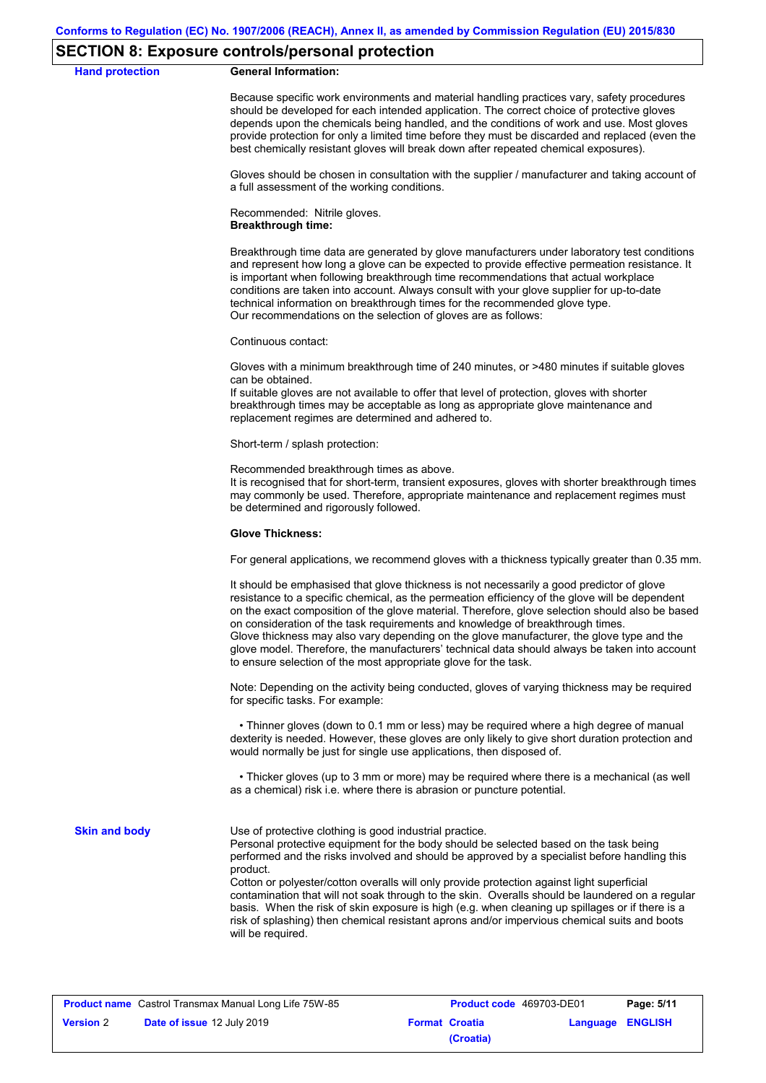### **SECTION 8: Exposure controls/personal protection**

### **Hand protection General Information:**

Because specific work environments and material handling practices vary, safety procedures should be developed for each intended application. The correct choice of protective gloves depends upon the chemicals being handled, and the conditions of work and use. Most gloves provide protection for only a limited time before they must be discarded and replaced (even the best chemically resistant gloves will break down after repeated chemical exposures).

Gloves should be chosen in consultation with the supplier / manufacturer and taking account of a full assessment of the working conditions.

Recommended: Nitrile gloves. **Breakthrough time:**

Breakthrough time data are generated by glove manufacturers under laboratory test conditions and represent how long a glove can be expected to provide effective permeation resistance. It is important when following breakthrough time recommendations that actual workplace conditions are taken into account. Always consult with your glove supplier for up-to-date technical information on breakthrough times for the recommended glove type. Our recommendations on the selection of gloves are as follows:

Continuous contact:

Gloves with a minimum breakthrough time of 240 minutes, or >480 minutes if suitable gloves can be obtained.

If suitable gloves are not available to offer that level of protection, gloves with shorter breakthrough times may be acceptable as long as appropriate glove maintenance and replacement regimes are determined and adhered to.

Short-term / splash protection:

Recommended breakthrough times as above.

It is recognised that for short-term, transient exposures, gloves with shorter breakthrough times may commonly be used. Therefore, appropriate maintenance and replacement regimes must be determined and rigorously followed.

### **Glove Thickness:**

For general applications, we recommend gloves with a thickness typically greater than 0.35 mm.

It should be emphasised that glove thickness is not necessarily a good predictor of glove resistance to a specific chemical, as the permeation efficiency of the glove will be dependent on the exact composition of the glove material. Therefore, glove selection should also be based on consideration of the task requirements and knowledge of breakthrough times. Glove thickness may also vary depending on the glove manufacturer, the glove type and the glove model. Therefore, the manufacturers' technical data should always be taken into account to ensure selection of the most appropriate glove for the task.

Note: Depending on the activity being conducted, gloves of varying thickness may be required for specific tasks. For example:

 • Thinner gloves (down to 0.1 mm or less) may be required where a high degree of manual dexterity is needed. However, these gloves are only likely to give short duration protection and would normally be just for single use applications, then disposed of.

 • Thicker gloves (up to 3 mm or more) may be required where there is a mechanical (as well as a chemical) risk i.e. where there is abrasion or puncture potential.

**Skin and body**

Use of protective clothing is good industrial practice.

Personal protective equipment for the body should be selected based on the task being performed and the risks involved and should be approved by a specialist before handling this product.

Cotton or polyester/cotton overalls will only provide protection against light superficial contamination that will not soak through to the skin. Overalls should be laundered on a regular basis. When the risk of skin exposure is high (e.g. when cleaning up spillages or if there is a risk of splashing) then chemical resistant aprons and/or impervious chemical suits and boots will be required.

| <b>Product name</b> Castrol Transmax Manual Long Life 75W-85 |                            | <b>Product code</b> 469703-DE01 |                       | Page: 5/11              |  |
|--------------------------------------------------------------|----------------------------|---------------------------------|-----------------------|-------------------------|--|
| <b>Version 2</b>                                             | Date of issue 12 July 2019 |                                 | <b>Format Croatia</b> | <b>Language ENGLISH</b> |  |
|                                                              |                            |                                 | (Croatia)             |                         |  |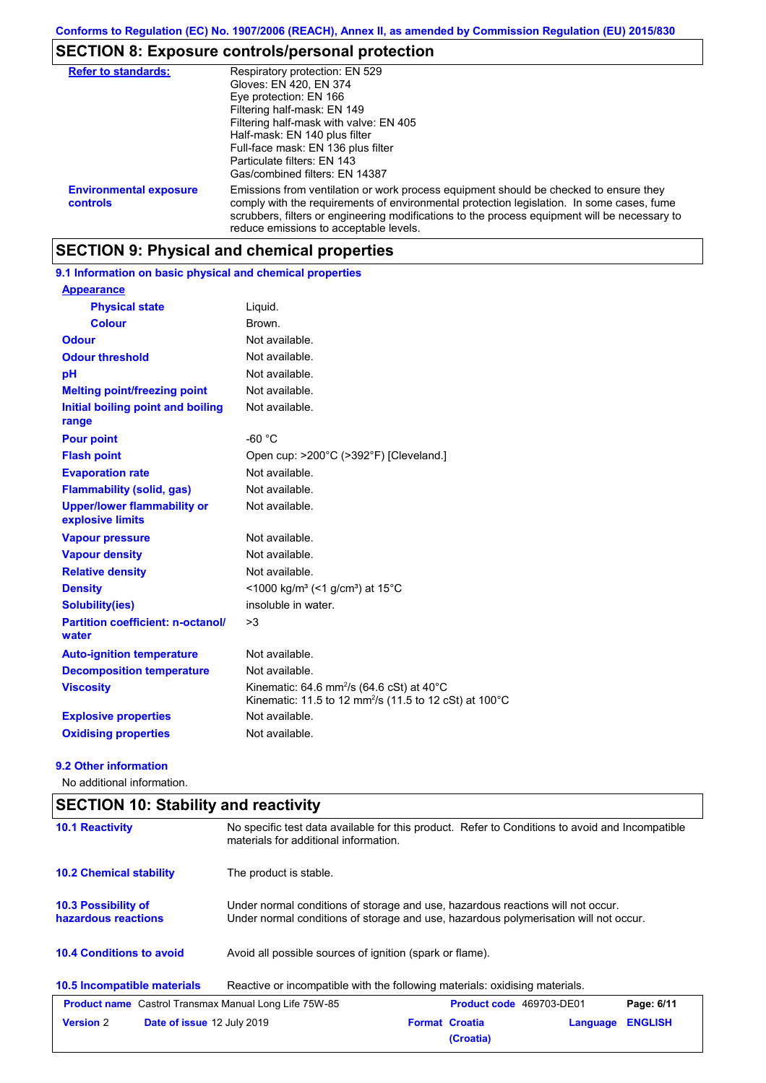# **SECTION 8: Exposure controls/personal protection**

| <b>Refer to standards:</b>                | Respiratory protection: EN 529<br>Gloves: EN 420, EN 374<br>Eye protection: EN 166<br>Filtering half-mask: EN 149<br>Filtering half-mask with valve: EN 405<br>Half-mask: EN 140 plus filter<br>Full-face mask: EN 136 plus filter<br>Particulate filters: EN 143<br>Gas/combined filters: EN 14387                           |
|-------------------------------------------|-------------------------------------------------------------------------------------------------------------------------------------------------------------------------------------------------------------------------------------------------------------------------------------------------------------------------------|
| <b>Environmental exposure</b><br>controls | Emissions from ventilation or work process equipment should be checked to ensure they<br>comply with the requirements of environmental protection legislation. In some cases, fume<br>scrubbers, filters or engineering modifications to the process equipment will be necessary to<br>reduce emissions to acceptable levels. |

# **SECTION 9: Physical and chemical properties**

**9.1 Information on basic physical and chemical properties**

| <b>Appearance</b>                                      |                                                                                                                                                   |
|--------------------------------------------------------|---------------------------------------------------------------------------------------------------------------------------------------------------|
| <b>Physical state</b>                                  | Liquid.                                                                                                                                           |
| <b>Colour</b>                                          | Brown.                                                                                                                                            |
| <b>Odour</b>                                           | Not available.                                                                                                                                    |
| <b>Odour threshold</b>                                 | Not available.                                                                                                                                    |
| pH                                                     | Not available.                                                                                                                                    |
| <b>Melting point/freezing point</b>                    | Not available.                                                                                                                                    |
| Initial boiling point and boiling<br>range             | Not available.                                                                                                                                    |
| <b>Pour point</b>                                      | $-60 °C$                                                                                                                                          |
| <b>Flash point</b>                                     | Open cup: >200°C (>392°F) [Cleveland.]                                                                                                            |
| <b>Evaporation rate</b>                                | Not available.                                                                                                                                    |
| <b>Flammability (solid, gas)</b>                       | Not available.                                                                                                                                    |
| <b>Upper/lower flammability or</b><br>explosive limits | Not available.                                                                                                                                    |
| <b>Vapour pressure</b>                                 | Not available.                                                                                                                                    |
| <b>Vapour density</b>                                  | Not available.                                                                                                                                    |
| <b>Relative density</b>                                | Not available.                                                                                                                                    |
| <b>Density</b>                                         | <1000 kg/m <sup>3</sup> (<1 g/cm <sup>3</sup> ) at 15 <sup>°</sup> C                                                                              |
| Solubility(ies)                                        | insoluble in water.                                                                                                                               |
| <b>Partition coefficient: n-octanol/</b><br>water      | >3                                                                                                                                                |
| <b>Auto-ignition temperature</b>                       | Not available.                                                                                                                                    |
| <b>Decomposition temperature</b>                       | Not available.                                                                                                                                    |
| <b>Viscosity</b>                                       | Kinematic: 64.6 mm <sup>2</sup> /s (64.6 cSt) at 40 $^{\circ}$ C<br>Kinematic: 11.5 to 12 mm <sup>2</sup> /s (11.5 to 12 cSt) at 100 $^{\circ}$ C |
| <b>Explosive properties</b>                            | Not available.                                                                                                                                    |
| <b>Oxidising properties</b>                            | Not available.                                                                                                                                    |

### **9.2 Other information**

No additional information.

| <b>SECTION 10: Stability and reactivity</b>                  |                                                                                                                                                                         |                                    |          |                |  |
|--------------------------------------------------------------|-------------------------------------------------------------------------------------------------------------------------------------------------------------------------|------------------------------------|----------|----------------|--|
| <b>10.1 Reactivity</b>                                       | No specific test data available for this product. Refer to Conditions to avoid and Incompatible<br>materials for additional information.                                |                                    |          |                |  |
| <b>10.2 Chemical stability</b>                               | The product is stable.                                                                                                                                                  |                                    |          |                |  |
| 10.3 Possibility of<br>hazardous reactions                   | Under normal conditions of storage and use, hazardous reactions will not occur.<br>Under normal conditions of storage and use, hazardous polymerisation will not occur. |                                    |          |                |  |
| <b>10.4 Conditions to avoid</b>                              | Avoid all possible sources of ignition (spark or flame).                                                                                                                |                                    |          |                |  |
| 10.5 Incompatible materials                                  | Reactive or incompatible with the following materials: oxidising materials.                                                                                             |                                    |          |                |  |
| <b>Product name</b> Castrol Transmax Manual Long Life 75W-85 |                                                                                                                                                                         | <b>Product code</b> 469703-DE01    |          | Page: 6/11     |  |
| <b>Version 2</b><br>Date of issue 12 July 2019               |                                                                                                                                                                         | <b>Format Croatia</b><br>(Croatia) | Language | <b>ENGLISH</b> |  |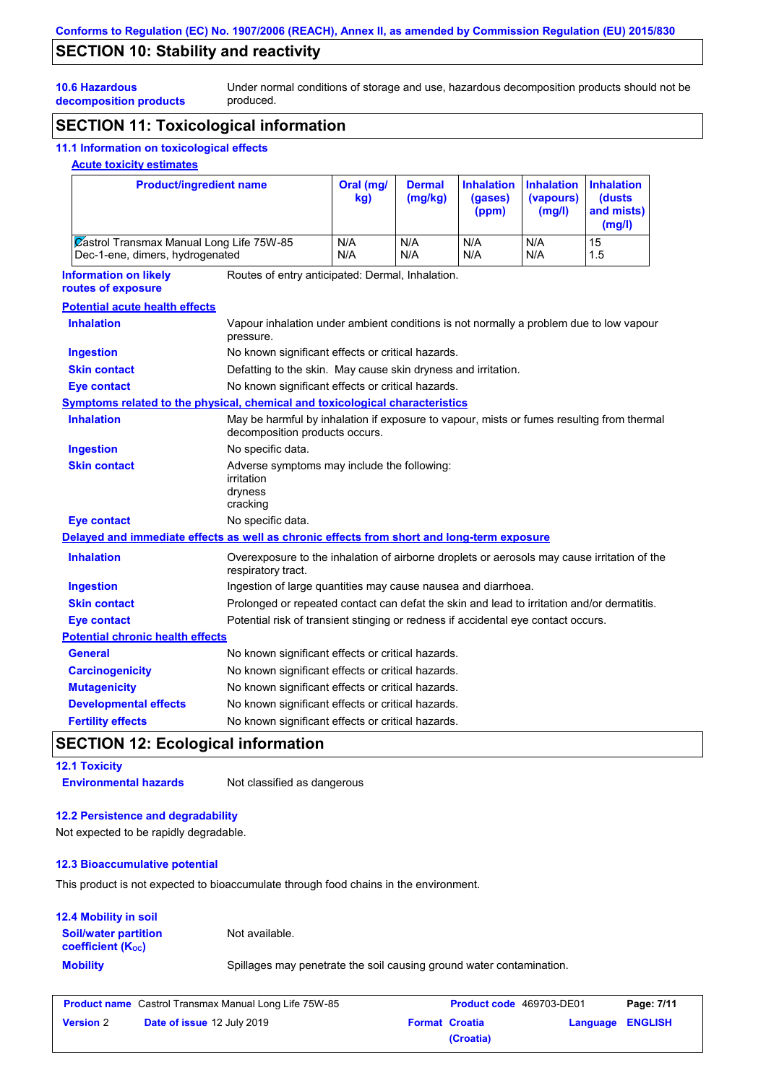# **SECTION 10: Stability and reactivity**

Under normal conditions of storage and use, hazardous decomposition products should not be produced.

# **decomposition products SECTION 11: Toxicological information**

# **11.1 Information on toxicological effects**

### **Acute toxicity estimates**

**10.6 Hazardous** 

| <b>Product/ingredient name</b>                                                                         |                                                                                                                             | Oral (mg/<br>kg) | <b>Dermal</b><br>(mg/kg) | <b>Inhalation</b><br>(gases)<br>(ppm) | <b>Inhalation</b><br>(vapours)<br>(mg/l) | <b>Inhalation</b><br>(dusts<br>and mists)<br>(mg/l) |
|--------------------------------------------------------------------------------------------------------|-----------------------------------------------------------------------------------------------------------------------------|------------------|--------------------------|---------------------------------------|------------------------------------------|-----------------------------------------------------|
|                                                                                                        | <b>Zastrol Transmax Manual Long Life 75W-85</b><br>Dec-1-ene, dimers, hydrogenated                                          |                  | N/A<br>N/A               | N/A<br>N/A                            | N/A<br>N/A                               | 15<br>1.5                                           |
| <b>Information on likely</b><br>Routes of entry anticipated: Dermal, Inhalation.<br>routes of exposure |                                                                                                                             |                  |                          |                                       |                                          |                                                     |
| <b>Potential acute health effects</b>                                                                  |                                                                                                                             |                  |                          |                                       |                                          |                                                     |
| <b>Inhalation</b>                                                                                      | Vapour inhalation under ambient conditions is not normally a problem due to low vapour<br>pressure.                         |                  |                          |                                       |                                          |                                                     |
| <b>Ingestion</b>                                                                                       | No known significant effects or critical hazards.                                                                           |                  |                          |                                       |                                          |                                                     |
| <b>Skin contact</b>                                                                                    | Defatting to the skin. May cause skin dryness and irritation.                                                               |                  |                          |                                       |                                          |                                                     |
| <b>Eye contact</b>                                                                                     | No known significant effects or critical hazards.                                                                           |                  |                          |                                       |                                          |                                                     |
| Symptoms related to the physical, chemical and toxicological characteristics                           |                                                                                                                             |                  |                          |                                       |                                          |                                                     |
| <b>Inhalation</b>                                                                                      | May be harmful by inhalation if exposure to vapour, mists or fumes resulting from thermal<br>decomposition products occurs. |                  |                          |                                       |                                          |                                                     |
| <b>Ingestion</b>                                                                                       | No specific data.                                                                                                           |                  |                          |                                       |                                          |                                                     |
| <b>Skin contact</b>                                                                                    | Adverse symptoms may include the following:<br>irritation<br>dryness<br>cracking                                            |                  |                          |                                       |                                          |                                                     |
| <b>Eye contact</b>                                                                                     | No specific data.                                                                                                           |                  |                          |                                       |                                          |                                                     |
| Delayed and immediate effects as well as chronic effects from short and long-term exposure             |                                                                                                                             |                  |                          |                                       |                                          |                                                     |
| <b>Inhalation</b>                                                                                      | Overexposure to the inhalation of airborne droplets or aerosols may cause irritation of the<br>respiratory tract.           |                  |                          |                                       |                                          |                                                     |
| <b>Ingestion</b>                                                                                       | Ingestion of large quantities may cause nausea and diarrhoea.                                                               |                  |                          |                                       |                                          |                                                     |
| <b>Skin contact</b>                                                                                    | Prolonged or repeated contact can defat the skin and lead to irritation and/or dermatitis.                                  |                  |                          |                                       |                                          |                                                     |
| <b>Eye contact</b>                                                                                     | Potential risk of transient stinging or redness if accidental eye contact occurs.                                           |                  |                          |                                       |                                          |                                                     |
| <b>Potential chronic health effects</b>                                                                |                                                                                                                             |                  |                          |                                       |                                          |                                                     |
| <b>General</b>                                                                                         | No known significant effects or critical hazards.                                                                           |                  |                          |                                       |                                          |                                                     |
| <b>Carcinogenicity</b>                                                                                 | No known significant effects or critical hazards.                                                                           |                  |                          |                                       |                                          |                                                     |
| <b>Mutagenicity</b>                                                                                    | No known significant effects or critical hazards.                                                                           |                  |                          |                                       |                                          |                                                     |
| <b>Developmental effects</b>                                                                           | No known significant effects or critical hazards.                                                                           |                  |                          |                                       |                                          |                                                     |
| <b>Fertility effects</b>                                                                               | No known significant effects or critical hazards.                                                                           |                  |                          |                                       |                                          |                                                     |

# **SECTION 12: Ecological information**

# **12.1 Toxicity**

**Environmental hazards** Not classified as dangerous

### **12.2 Persistence and degradability**

Not expected to be rapidly degradable.

### **12.3 Bioaccumulative potential**

This product is not expected to bioaccumulate through food chains in the environment.

| <b>12.4 Mobility in soil</b>                                  |                                                                      |
|---------------------------------------------------------------|----------------------------------------------------------------------|
| <b>Soil/water partition</b><br>coefficient (K <sub>oc</sub> ) | Not available.                                                       |
| <b>Mobility</b>                                               | Spillages may penetrate the soil causing ground water contamination. |

|                  | <b>Product name</b> Castrol Transmax Manual Long Life 75W-85 | <b>Product code</b> 469703-DE01 |                  | Page: 7/11 |
|------------------|--------------------------------------------------------------|---------------------------------|------------------|------------|
| <b>Version 2</b> | <b>Date of issue 12 July 2019</b>                            | <b>Format Croatia</b>           | Language ENGLISH |            |
|                  |                                                              | (Croatia)                       |                  |            |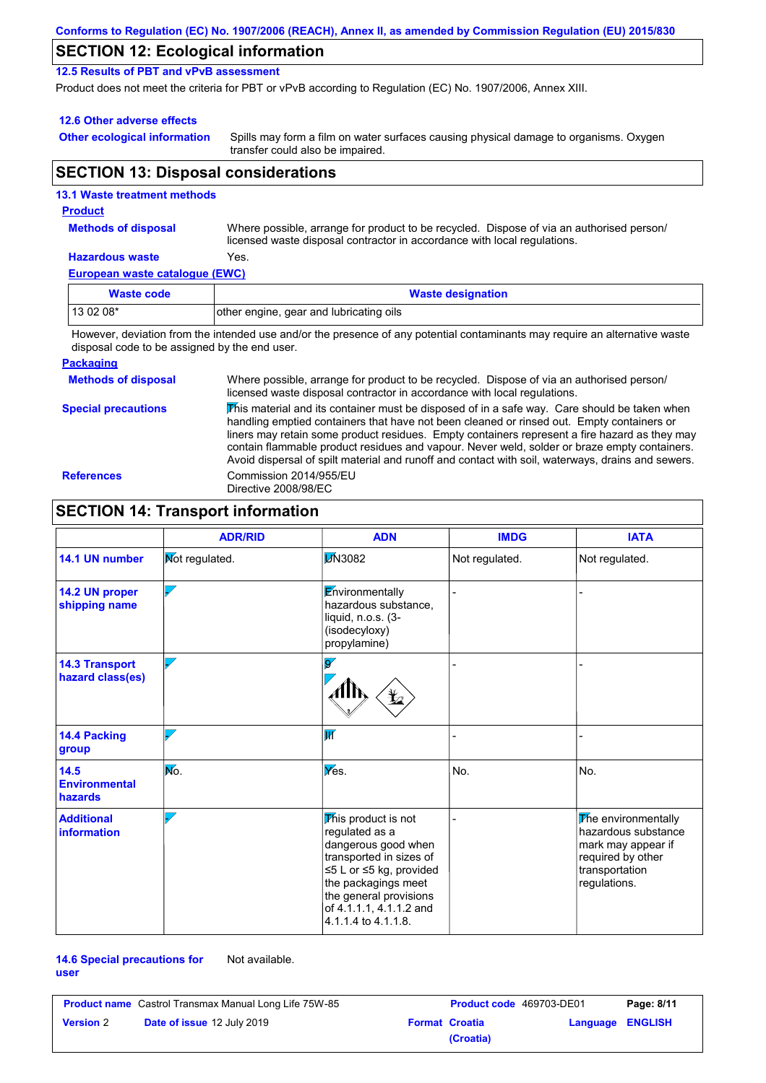| Conforms to Regulation (EC) No. 1907/2006 (REACH), Annex II, as amended by Commission Regulation (EU) 2015/830 |  |
|----------------------------------------------------------------------------------------------------------------|--|
|----------------------------------------------------------------------------------------------------------------|--|

### **SECTION 12: Ecological information**

**12.5 Results of PBT and vPvB assessment**

Product does not meet the criteria for PBT or vPvB according to Regulation (EC) No. 1907/2006, Annex XIII.

### **12.6 Other adverse effects**

**Other ecological information**

Spills may form a film on water surfaces causing physical damage to organisms. Oxygen transfer could also be impaired.

### **SECTION 13: Disposal considerations**

### **European waste catalogue (EWC) Hazardous waste** Yes. Where possible, arrange for product to be recycled. Dispose of via an authorised person/ licensed waste disposal contractor in accordance with local regulations. **Methods of disposal 13.1 Waste treatment methods Product Waste code Waste designation** 13 02 08\* **other engine, gear and lubricating oils**

However, deviation from the intended use and/or the presence of any potential contaminants may require an alternative waste disposal code to be assigned by the end user.

### **Packaging**

| <b>Methods of disposal</b> | Where possible, arrange for product to be recycled. Dispose of via an authorised person/<br>licensed waste disposal contractor in accordance with local regulations.                                                                                                                                                                                                                                                                                                                            |
|----------------------------|-------------------------------------------------------------------------------------------------------------------------------------------------------------------------------------------------------------------------------------------------------------------------------------------------------------------------------------------------------------------------------------------------------------------------------------------------------------------------------------------------|
| <b>Special precautions</b> | This material and its container must be disposed of in a safe way. Care should be taken when<br>handling emptied containers that have not been cleaned or rinsed out. Empty containers or<br>liners may retain some product residues. Empty containers represent a fire hazard as they may<br>contain flammable product residues and vapour. Never weld, solder or braze empty containers.<br>Avoid dispersal of spilt material and runoff and contact with soil, waterways, drains and sewers. |
| <b>References</b>          | Commission 2014/955/EU<br>Directive 2008/98/EC                                                                                                                                                                                                                                                                                                                                                                                                                                                  |

# **SECTION 14: Transport information**

|                                           | <b>ADR/RID</b>        | <b>ADN</b>                                                                                                                                                                                                            | <b>IMDG</b>    | <b>IATA</b>                                                                                                             |
|-------------------------------------------|-----------------------|-----------------------------------------------------------------------------------------------------------------------------------------------------------------------------------------------------------------------|----------------|-------------------------------------------------------------------------------------------------------------------------|
| 14.1 UN number                            | <b>Not regulated.</b> | <b>D</b> N3082                                                                                                                                                                                                        | Not regulated. | Not regulated.                                                                                                          |
| 14.2 UN proper<br>shipping name           |                       | Environmentally<br>hazardous substance.<br>liquid, n.o.s. (3-<br>(isodecyloxy)<br>propylamine)                                                                                                                        |                |                                                                                                                         |
| <b>14.3 Transport</b><br>hazard class(es) |                       | $\overline{\mathbf{S}}$                                                                                                                                                                                               |                |                                                                                                                         |
| <b>14.4 Packing</b><br>group              |                       | $\overline{\mathbf{W}}$                                                                                                                                                                                               |                |                                                                                                                         |
| $14.5$<br><b>Environmental</b><br>hazards | No.                   | Yes.                                                                                                                                                                                                                  | No.            | No.                                                                                                                     |
| <b>Additional</b><br><b>information</b>   |                       | This product is not<br>regulated as a<br>dangerous good when<br>transported in sizes of<br>≤5 L or ≤5 kg, provided<br>the packagings meet<br>the general provisions<br>of 4.1.1.1, 4.1.1.2 and<br>4.1.1.4 to 4.1.1.8. |                | The environmentally<br>hazardous substance<br>mark may appear if<br>required by other<br>transportation<br>regulations. |

### **14.6 Special precautions for user** Not available.

| <b>Product name</b> Castrol Transmax Manual Long Life 75W-85 |                                   | <b>Product code</b> 469703-DE01 |                       | Page: 8/11              |  |
|--------------------------------------------------------------|-----------------------------------|---------------------------------|-----------------------|-------------------------|--|
| <b>Version 2</b>                                             | <b>Date of issue 12 July 2019</b> |                                 | <b>Format Croatia</b> | <b>Language ENGLISH</b> |  |
|                                                              |                                   |                                 | (Croatia)             |                         |  |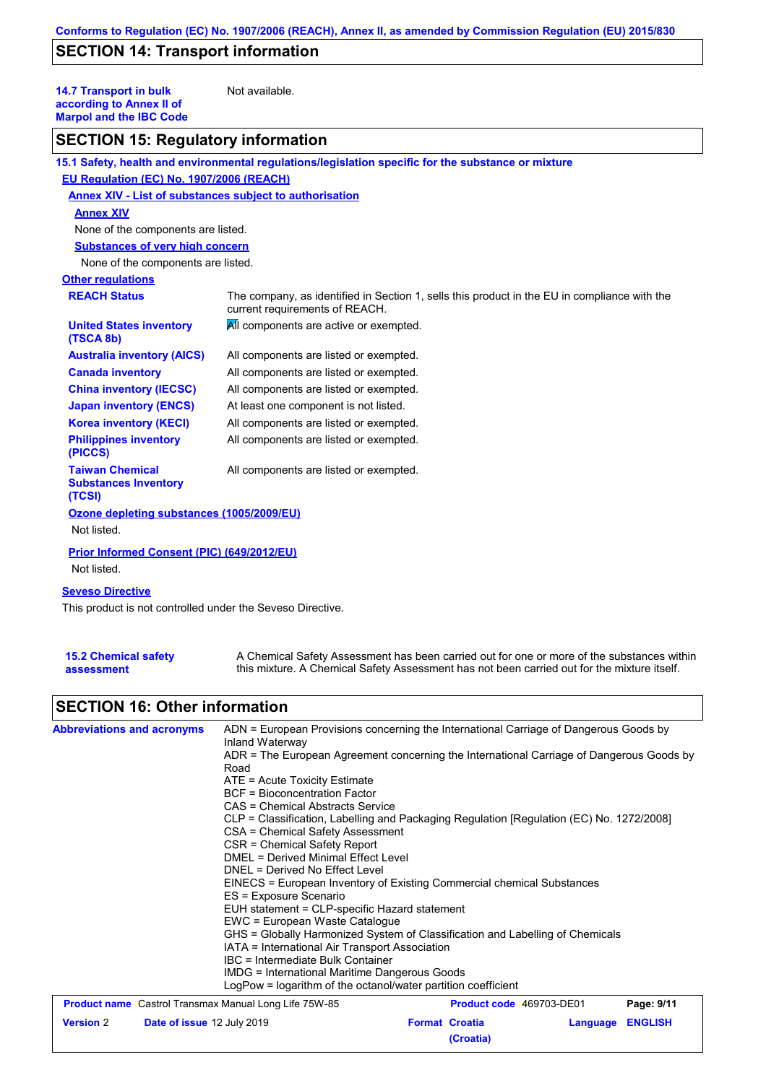# **SECTION 14: Transport information**

**14.7 Transport in bulk according to Annex II of Marpol and the IBC Code**

Not available.

# **SECTION 15: Regulatory information**

|                                                                 | 15.1 Safety, health and environmental regulations/legislation specific for the substance or mixture                            |
|-----------------------------------------------------------------|--------------------------------------------------------------------------------------------------------------------------------|
| EU Regulation (EC) No. 1907/2006 (REACH)                        |                                                                                                                                |
| <b>Annex XIV - List of substances subject to authorisation</b>  |                                                                                                                                |
| <b>Annex XIV</b>                                                |                                                                                                                                |
| None of the components are listed.                              |                                                                                                                                |
| <b>Substances of very high concern</b>                          |                                                                                                                                |
| None of the components are listed.                              |                                                                                                                                |
| <b>Other regulations</b>                                        |                                                                                                                                |
| <b>REACH Status</b>                                             | The company, as identified in Section 1, sells this product in the EU in compliance with the<br>current requirements of REACH. |
| <b>United States inventory</b><br>(TSCA 8b)                     | All components are active or exempted.                                                                                         |
| <b>Australia inventory (AICS)</b>                               | All components are listed or exempted.                                                                                         |
| <b>Canada inventory</b>                                         | All components are listed or exempted.                                                                                         |
| <b>China inventory (IECSC)</b>                                  | All components are listed or exempted.                                                                                         |
| <b>Japan inventory (ENCS)</b>                                   | At least one component is not listed.                                                                                          |
| <b>Korea inventory (KECI)</b>                                   | All components are listed or exempted.                                                                                         |
| <b>Philippines inventory</b><br>(PICCS)                         | All components are listed or exempted.                                                                                         |
| <b>Taiwan Chemical</b><br><b>Substances Inventory</b><br>(TCSI) | All components are listed or exempted.                                                                                         |
| Ozone depleting substances (1005/2009/EU)                       |                                                                                                                                |
| Not listed.                                                     |                                                                                                                                |
| Prior Informed Consent (PIC) (649/2012/EU)                      |                                                                                                                                |
| Not listed.                                                     |                                                                                                                                |
| <b>Seveso Directive</b>                                         |                                                                                                                                |
| This product is not controlled under the Seveso Directive.      |                                                                                                                                |

**15.2 Chemical safety** 

**assessment**

A Chemical Safety Assessment has been carried out for one or more of the substances within this mixture. A Chemical Safety Assessment has not been carried out for the mixture itself.

# **SECTION 16: Other information**

| <b>Abbreviations and acronyms</b>                                                                | ADN = European Provisions concerning the International Carriage of Dangerous Goods by                                                                                                                                                                                                                                                                                                                                                     |  |                          |          |                |  |  |
|--------------------------------------------------------------------------------------------------|-------------------------------------------------------------------------------------------------------------------------------------------------------------------------------------------------------------------------------------------------------------------------------------------------------------------------------------------------------------------------------------------------------------------------------------------|--|--------------------------|----------|----------------|--|--|
|                                                                                                  | Inland Waterway<br>ADR = The European Agreement concerning the International Carriage of Dangerous Goods by<br>Road<br>$ATE = Acute Toxicity Estimate$<br><b>BCF</b> = Bioconcentration Factor<br>CAS = Chemical Abstracts Service<br>CLP = Classification, Labelling and Packaging Regulation [Regulation (EC) No. 1272/2008]<br>CSA = Chemical Safety Assessment<br>CSR = Chemical Safety Report<br>DMEL = Derived Minimal Effect Level |  |                          |          |                |  |  |
|                                                                                                  | DNEL = Derived No Effect Level                                                                                                                                                                                                                                                                                                                                                                                                            |  |                          |          |                |  |  |
| EINECS = European Inventory of Existing Commercial chemical Substances<br>ES = Exposure Scenario |                                                                                                                                                                                                                                                                                                                                                                                                                                           |  |                          |          |                |  |  |
|                                                                                                  | EUH statement = CLP-specific Hazard statement                                                                                                                                                                                                                                                                                                                                                                                             |  |                          |          |                |  |  |
|                                                                                                  | EWC = European Waste Catalogue                                                                                                                                                                                                                                                                                                                                                                                                            |  |                          |          |                |  |  |
|                                                                                                  | GHS = Globally Harmonized System of Classification and Labelling of Chemicals                                                                                                                                                                                                                                                                                                                                                             |  |                          |          |                |  |  |
|                                                                                                  | IATA = International Air Transport Association<br>IBC = Intermediate Bulk Container                                                                                                                                                                                                                                                                                                                                                       |  |                          |          |                |  |  |
|                                                                                                  |                                                                                                                                                                                                                                                                                                                                                                                                                                           |  |                          |          |                |  |  |
|                                                                                                  | LogPow = logarithm of the octanol/water partition coefficient                                                                                                                                                                                                                                                                                                                                                                             |  |                          |          |                |  |  |
| <b>Product name</b> Castrol Transmax Manual Long Life 75W-85                                     |                                                                                                                                                                                                                                                                                                                                                                                                                                           |  | Product code 469703-DE01 |          | Page: 9/11     |  |  |
| Date of issue 12 July 2019<br><b>Version 2</b>                                                   |                                                                                                                                                                                                                                                                                                                                                                                                                                           |  | <b>Format Croatia</b>    | Language | <b>ENGLISH</b> |  |  |
|                                                                                                  |                                                                                                                                                                                                                                                                                                                                                                                                                                           |  | (Croatia)                |          |                |  |  |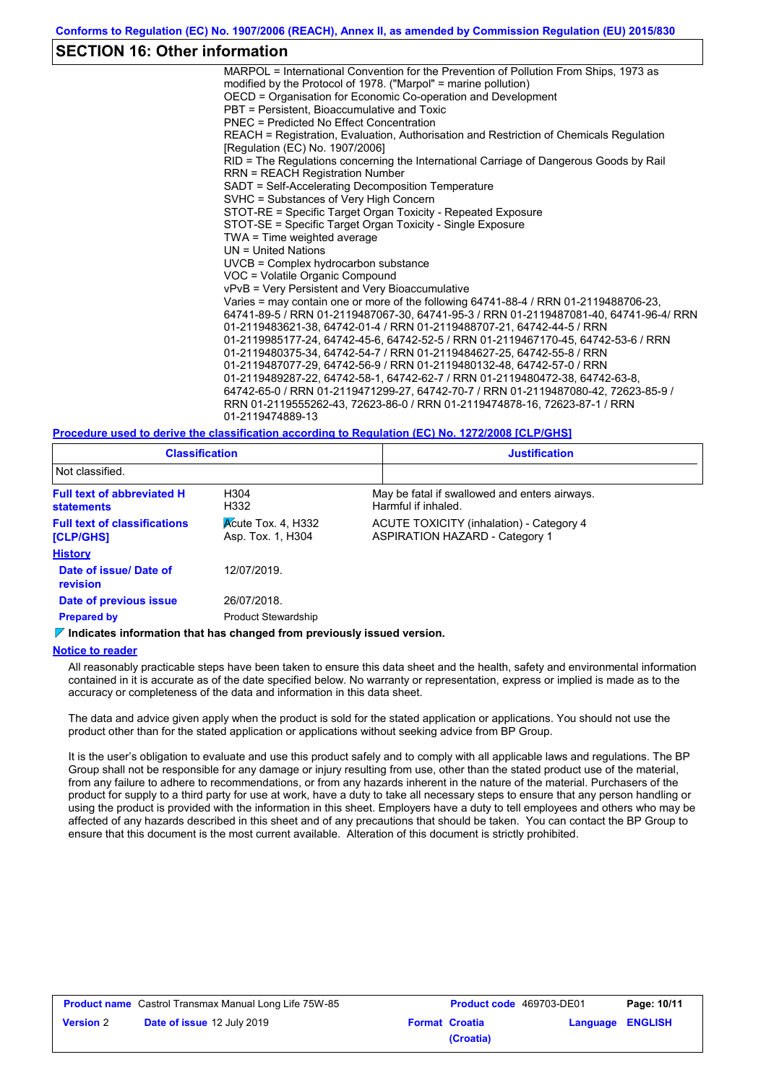### **SECTION 16: Other information**

MARPOL = International Convention for the Prevention of Pollution From Ships, 1973 as modified by the Protocol of 1978. ("Marpol" = marine pollution) OECD = Organisation for Economic Co-operation and Development PBT = Persistent, Bioaccumulative and Toxic PNEC = Predicted No Effect Concentration REACH = Registration, Evaluation, Authorisation and Restriction of Chemicals Regulation [Regulation (EC) No. 1907/2006] RID = The Regulations concerning the International Carriage of Dangerous Goods by Rail RRN = REACH Registration Number SADT = Self-Accelerating Decomposition Temperature SVHC = Substances of Very High Concern STOT-RE = Specific Target Organ Toxicity - Repeated Exposure STOT-SE = Specific Target Organ Toxicity - Single Exposure TWA = Time weighted average UN = United Nations UVCB = Complex hydrocarbon substance VOC = Volatile Organic Compound vPvB = Very Persistent and Very Bioaccumulative Varies = may contain one or more of the following 64741-88-4 / RRN 01-2119488706-23, 64741-89-5 / RRN 01-2119487067-30, 64741-95-3 / RRN 01-2119487081-40, 64741-96-4/ RRN 01-2119483621-38, 64742-01-4 / RRN 01-2119488707-21, 64742-44-5 / RRN 01-2119985177-24, 64742-45-6, 64742-52-5 / RRN 01-2119467170-45, 64742-53-6 / RRN 01-2119480375-34, 64742-54-7 / RRN 01-2119484627-25, 64742-55-8 / RRN 01-2119487077-29, 64742-56-9 / RRN 01-2119480132-48, 64742-57-0 / RRN 01-2119489287-22, 64742-58-1, 64742-62-7 / RRN 01-2119480472-38, 64742-63-8, 64742-65-0 / RRN 01-2119471299-27, 64742-70-7 / RRN 01-2119487080-42, 72623-85-9 / RRN 01-2119555262-43, 72623-86-0 / RRN 01-2119474878-16, 72623-87-1 / RRN 01-2119474889-13

**Procedure used to derive the classification according to Regulation (EC) No. 1272/2008 [CLP/GHS]**

| <b>Classification</b>                                                                  |                                                               | <b>Justification</b> |                                                                                   |  |  |  |  |
|----------------------------------------------------------------------------------------|---------------------------------------------------------------|----------------------|-----------------------------------------------------------------------------------|--|--|--|--|
| Not classified.                                                                        |                                                               |                      |                                                                                   |  |  |  |  |
| <b>Full text of abbreviated H</b><br>H304<br>H332<br><b>statements</b>                 |                                                               |                      | May be fatal if swallowed and enters airways.<br>Harmful if inhaled.              |  |  |  |  |
| <b>Full text of classifications</b><br><b>[CLP/GHS]</b>                                | $\overline{\mathsf{Acute}}$ Tox. 4, H332<br>Asp. Tox. 1, H304 |                      | ACUTE TOXICITY (inhalation) - Category 4<br><b>ASPIRATION HAZARD - Category 1</b> |  |  |  |  |
| <b>History</b>                                                                         |                                                               |                      |                                                                                   |  |  |  |  |
| Date of issue/Date of<br>revision                                                      | 12/07/2019                                                    |                      |                                                                                   |  |  |  |  |
| Date of previous issue                                                                 | 26/07/2018.                                                   |                      |                                                                                   |  |  |  |  |
| <b>Prepared by</b>                                                                     | <b>Product Stewardship</b>                                    |                      |                                                                                   |  |  |  |  |
| $\triangledown$ Indicates information that has changed from previously issued version. |                                                               |                      |                                                                                   |  |  |  |  |

### **Notice to reader**

All reasonably practicable steps have been taken to ensure this data sheet and the health, safety and environmental information contained in it is accurate as of the date specified below. No warranty or representation, express or implied is made as to the accuracy or completeness of the data and information in this data sheet.

The data and advice given apply when the product is sold for the stated application or applications. You should not use the product other than for the stated application or applications without seeking advice from BP Group.

It is the user's obligation to evaluate and use this product safely and to comply with all applicable laws and regulations. The BP Group shall not be responsible for any damage or injury resulting from use, other than the stated product use of the material, from any failure to adhere to recommendations, or from any hazards inherent in the nature of the material. Purchasers of the product for supply to a third party for use at work, have a duty to take all necessary steps to ensure that any person handling or using the product is provided with the information in this sheet. Employers have a duty to tell employees and others who may be affected of any hazards described in this sheet and of any precautions that should be taken. You can contact the BP Group to ensure that this document is the most current available. Alteration of this document is strictly prohibited.

| <b>Product name</b> Castrol Transmax Manual Long Life 75W-85 |                                   | <b>Product code</b> 469703-DE01 |           | Page: 10/11      |  |
|--------------------------------------------------------------|-----------------------------------|---------------------------------|-----------|------------------|--|
| <b>Version 2</b>                                             | <b>Date of issue 12 July 2019</b> | <b>Format Croatia</b>           |           | Language ENGLISH |  |
|                                                              |                                   |                                 | (Croatia) |                  |  |